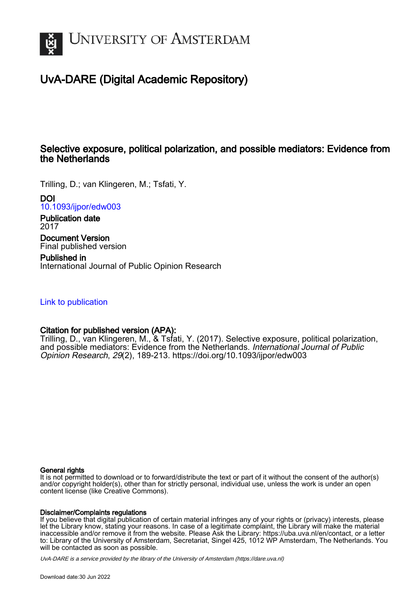

# UvA-DARE (Digital Academic Repository)

# Selective exposure, political polarization, and possible mediators: Evidence from the Netherlands

Trilling, D.; van Klingeren, M.; Tsfati, Y.

DOI

[10.1093/ijpor/edw003](https://doi.org/10.1093/ijpor/edw003)

Publication date 2017

Document Version Final published version

Published in International Journal of Public Opinion Research

[Link to publication](https://dare.uva.nl/personal/pure/en/publications/selective-exposure-political-polarization-and-possible-mediators-evidence-from-the-netherlands(2f7d9d89-7eb4-4fbe-aecc-b5dfb04342ab).html)

# Citation for published version (APA):

Trilling, D., van Klingeren, M., & Tsfati, Y. (2017). Selective exposure, political polarization, and possible mediators: Evidence from the Netherlands. International Journal of Public Opinion Research, 29(2), 189-213. <https://doi.org/10.1093/ijpor/edw003>

# General rights

It is not permitted to download or to forward/distribute the text or part of it without the consent of the author(s) and/or copyright holder(s), other than for strictly personal, individual use, unless the work is under an open content license (like Creative Commons).

# Disclaimer/Complaints regulations

If you believe that digital publication of certain material infringes any of your rights or (privacy) interests, please let the Library know, stating your reasons. In case of a legitimate complaint, the Library will make the material inaccessible and/or remove it from the website. Please Ask the Library: https://uba.uva.nl/en/contact, or a letter to: Library of the University of Amsterdam, Secretariat, Singel 425, 1012 WP Amsterdam, The Netherlands. You will be contacted as soon as possible.

UvA-DARE is a service provided by the library of the University of Amsterdam (http*s*://dare.uva.nl)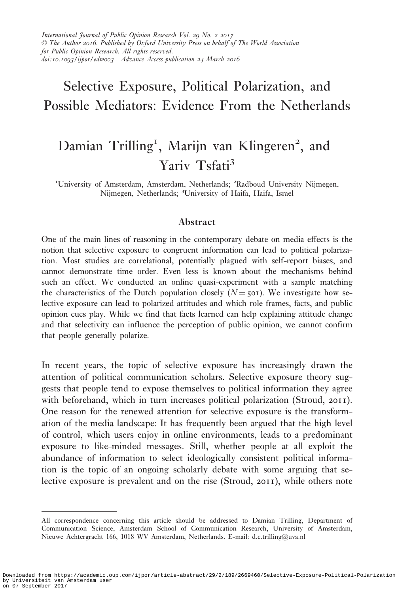# Selective Exposure, Political Polarization, and Possible Mediators: Evidence From the Netherlands

# Damian Trilling<sup>1</sup>, Marijn van Klingeren<sup>2</sup>, and Yariv Tsfati<sup>3</sup>

<sup>1</sup>University of Amsterdam, Amsterdam, Netherlands; <sup>2</sup>Radboud University Nijmegen, Nijmegen, Netherlands; <sup>3</sup>University of Haifa, Haifa, Israel

# Abstract

One of the main lines of reasoning in the contemporary debate on media effects is the notion that selective exposure to congruent information can lead to political polarization. Most studies are correlational, potentially plagued with self-report biases, and cannot demonstrate time order. Even less is known about the mechanisms behind such an effect. We conducted an online quasi-experiment with a sample matching the characteristics of the Dutch population closely  $(N = 501)$ . We investigate how selective exposure can lead to polarized attitudes and which role frames, facts, and public opinion cues play. While we find that facts learned can help explaining attitude change and that selectivity can influence the perception of public opinion, we cannot confirm that people generally polarize.

In recent years, the topic of selective exposure has increasingly drawn the attention of political communication scholars. Selective exposure theory suggests that people tend to expose themselves to political information they agree with beforehand, which in turn increases political polarization [\(Stroud,](#page-24-0) 2011). One reason for the renewed attention for selective exposure is the transformation of the media landscape: It has frequently been argued that the high level of control, which users enjoy in online environments, leads to a predominant exposure to like-minded messages. Still, whether people at all exploit the abundance of information to select ideologically consistent political information is the topic of an ongoing scholarly debate with some arguing that selective exposure is prevalent and on the rise ([Stroud,](#page-24-0) 2011), while others note

All correspondence concerning this article should be addressed to Damian Trilling, Department of Communication Science, Amsterdam School of Communication Research, University of Amsterdam, Nieuwe Achtergracht 166, 1018 WV Amsterdam, Netherlands. E-mail: d.c.trilling@uva.nl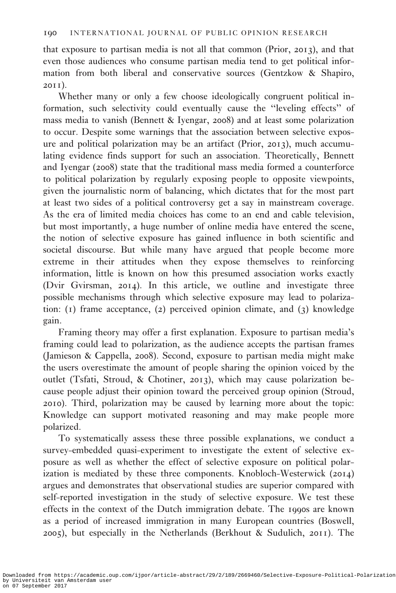that exposure to partisan media is not all that common ([Prior,](#page-23-0) 2013), and that even those audiences who consume partisan media tend to get political information from both liberal and conservative sources ([Gentzkow & Shapiro,](#page-22-0) [2011](#page-22-0)).

Whether many or only a few choose ideologically congruent political information, such selectivity could eventually cause the ''leveling effects'' of mass media to vanish [\(Bennett & Iyengar,](#page-21-0) 2008) and at least some polarization to occur. Despite some warnings that the association between selective exposure and political polarization may be an artifact ([Prior,](#page-23-0) 2013), much accumulating evidence finds support for such an association. Theoretically, [Bennett](#page-21-0) [and Iyengar \(](#page-21-0)2008) state that the traditional mass media formed a counterforce to political polarization by regularly exposing people to opposite viewpoints, given the journalistic norm of balancing, which dictates that for the most part at least two sides of a political controversy get a say in mainstream coverage. As the era of limited media choices has come to an end and cable television, but most importantly, a huge number of online media have entered the scene, the notion of selective exposure has gained influence in both scientific and societal discourse. But while many have argued that people become more extreme in their attitudes when they expose themselves to reinforcing information, little is known on how this presumed association works exactly ([Dvir Gvirsman,](#page-22-0) 2014). In this article, we outline and investigate three possible mechanisms through which selective exposure may lead to polarization: (1) frame acceptance, (2) perceived opinion climate, and (3) knowledge gain.

Framing theory may offer a first explanation. Exposure to partisan media's framing could lead to polarization, as the audience accepts the partisan frames ([Jamieson & Cappella,](#page-22-0) 2008). Second, exposure to partisan media might make the users overestimate the amount of people sharing the opinion voiced by the outlet ([Tsfati, Stroud, & Chotiner,](#page-24-0) 2013), which may cause polarization because people adjust their opinion toward the perceived group opinion ([Stroud,](#page-24-0) [2010](#page-24-0)). Third, polarization may be caused by learning more about the topic: Knowledge can support motivated reasoning and may make people more polarized.

To systematically assess these three possible explanations, we conduct a survey-embedded quasi-experiment to investigate the extent of selective exposure as well as whether the effect of selective exposure on political polarization is mediated by these three components. [Knobloch-Westerwick \(](#page-23-0)2014) argues and demonstrates that observational studies are superior compared with self-reported investigation in the study of selective exposure. We test these effects in the context of the Dutch immigration debate. The 1990s are known as a period of increased immigration in many European countries [\(Boswell,](#page-21-0) [2005](#page-21-0)), but especially in the Netherlands ([Berkhout & Sudulich,](#page-21-0) 2011). The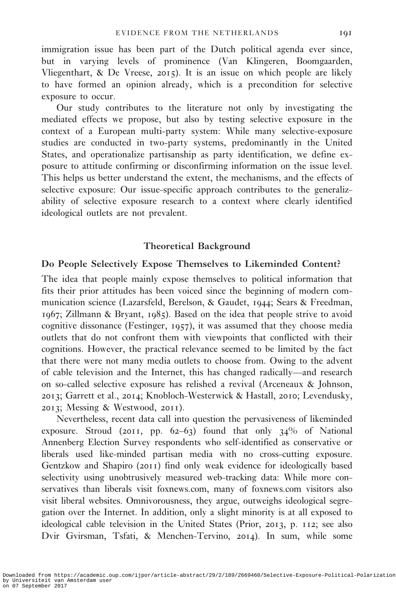immigration issue has been part of the Dutch political agenda ever since, but in varying levels of prominence ([Van Klingeren, Boomgaarden,](#page-24-0) [Vliegenthart, & De Vreese,](#page-24-0) 2015). It is an issue on which people are likely to have formed an opinion already, which is a precondition for selective exposure to occur.

Our study contributes to the literature not only by investigating the mediated effects we propose, but also by testing selective exposure in the context of a European multi-party system: While many selective-exposure studies are conducted in two-party systems, predominantly in the United States, and operationalize partisanship as party identification, we define exposure to attitude confirming or disconfirming information on the issue level. This helps us better understand the extent, the mechanisms, and the effects of selective exposure: Our issue-specific approach contributes to the generalizability of selective exposure research to a context where clearly identified ideological outlets are not prevalent.

### Theoretical Background

## Do People Selectively Expose Themselves to Likeminded Content?

The idea that people mainly expose themselves to political information that fits their prior attitudes has been voiced since the beginning of modern communication science ([Lazarsfeld, Berelson, & Gaudet,](#page-23-0) 1944; [Sears & Freedman,](#page-23-0) [1967](#page-23-0); [Zillmann & Bryant,](#page-24-0) 1985). Based on the idea that people strive to avoid cognitive dissonance [\(Festinger,](#page-22-0) 1957), it was assumed that they choose media outlets that do not confront them with viewpoints that conflicted with their cognitions. However, the practical relevance seemed to be limited by the fact that there were not many media outlets to choose from. Owing to the advent of cable television and the Internet, this has changed radically—and research on so-called selective exposure has relished a revival [\(Arceneaux & Johnson,](#page-21-0) [2013](#page-21-0); [Garrett et al.,](#page-22-0) 2014; [Knobloch-Westerwick & Hastall,](#page-23-0) 2010; [Levendusky,](#page-23-0) [2013](#page-23-0); [Messing & Westwood,](#page-23-0) 2011).

Nevertheless, recent data call into question the pervasiveness of likeminded exposure. Stroud ([2011](#page-24-0), pp. 62–63) found that only 34% of National Annenberg Election Survey respondents who self-identified as conservative or liberals used like-minded partisan media with no cross-cutting exposure. [Gentzkow and Shapiro \(](#page-22-0)2011) find only weak evidence for ideologically based selectivity using unobtrusively measured web-tracking data: While more conservatives than liberals visit foxnews.com, many of foxnews.com visitors also visit liberal websites. Omnivorousness, they argue, outweighs ideological segregation over the Internet. In addition, only a slight minority is at all exposed to ideological cable television in the United States [\(Prior,](#page-23-0) 2013, p. 112; see also [Dvir Gvirsman, Tsfati, & Menchen-Tervino,](#page-22-0) 2014). In sum, while some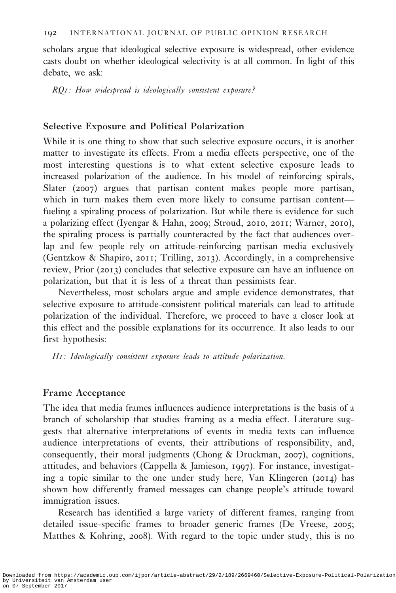scholars argue that ideological selective exposure is widespread, other evidence casts doubt on whether ideological selectivity is at all common. In light of this debate, we ask:

RQ1: How widespread is ideologically consistent exposure?

# Selective Exposure and Political Polarization

While it is one thing to show that such selective exposure occurs, it is another matter to investigate its effects. From a media effects perspective, one of the most interesting questions is to what extent selective exposure leads to increased polarization of the audience. In his model of reinforcing spirals, [Slater \(](#page-23-0)2007) argues that partisan content makes people more partisan, which in turn makes them even more likely to consume partisan content fueling a spiraling process of polarization. But while there is evidence for such a polarizing effect ([Iyengar & Hahn,](#page-22-0) 2009; [Stroud,](#page-24-0) 2010, [2011](#page-24-0); [Warner,](#page-24-0) 2010), the spiraling process is partially counteracted by the fact that audiences overlap and few people rely on attitude-reinforcing partisan media exclusively ([Gentzkow & Shapiro,](#page-22-0) 2011; [Trilling,](#page-24-0) 2013). Accordingly, in a comprehensive review, [Prior \(](#page-23-0)2013) concludes that selective exposure can have an influence on polarization, but that it is less of a threat than pessimists fear.

Nevertheless, most scholars argue and ample evidence demonstrates, that selective exposure to attitude-consistent political materials can lead to attitude polarization of the individual. Therefore, we proceed to have a closer look at this effect and the possible explanations for its occurrence. It also leads to our first hypothesis:

H1: Ideologically consistent exposure leads to attitude polarization.

#### Frame Acceptance

The idea that media frames influences audience interpretations is the basis of a branch of scholarship that studies framing as a media effect. Literature suggests that alternative interpretations of events in media texts can influence audience interpretations of events, their attributions of responsibility, and, consequently, their moral judgments [\(Chong & Druckman,](#page-21-0) 2007), cognitions, attitudes, and behaviors [\(Cappella & Jamieson,](#page-21-0) 1997). For instance, investigating a topic similar to the one under study here, [Van Klingeren \(](#page-24-0)2014) has shown how differently framed messages can change people's attitude toward immigration issues.

Research has identified a large variety of different frames, ranging from detailed issue-specific frames to broader generic frames ([De Vreese,](#page-22-0) 2005; [Matthes & Kohring,](#page-23-0) 2008). With regard to the topic under study, this is no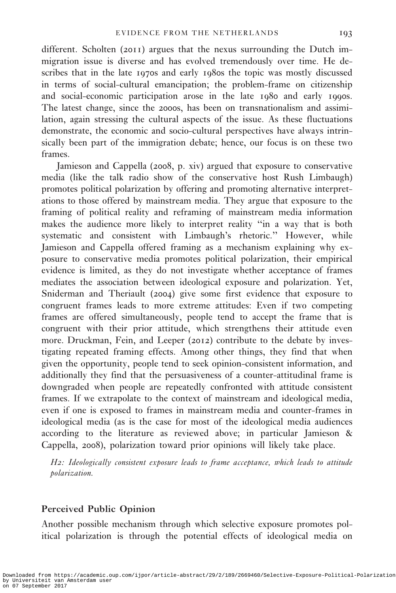different. [Scholten \(](#page-23-0)2011) argues that the nexus surrounding the Dutch immigration issue is diverse and has evolved tremendously over time. He describes that in the late 1970s and early 1980s the topic was mostly discussed in terms of social-cultural emancipation; the problem-frame on citizenship and social-economic participation arose in the late 1980 and early 1990s. The latest change, since the 2000s, has been on transnationalism and assimilation, again stressing the cultural aspects of the issue. As these fluctuations demonstrate, the economic and socio-cultural perspectives have always intrinsically been part of the immigration debate; hence, our focus is on these two frames.

Jamieson and Cappella ([2008](#page-22-0), p. xiv) argued that exposure to conservative media (like the talk radio show of the conservative host Rush Limbaugh) promotes political polarization by offering and promoting alternative interpretations to those offered by mainstream media. They argue that exposure to the framing of political reality and reframing of mainstream media information makes the audience more likely to interpret reality "in a way that is both systematic and consistent with Limbaugh's rhetoric.'' However, while Jamieson and Cappella offered framing as a mechanism explaining why exposure to conservative media promotes political polarization, their empirical evidence is limited, as they do not investigate whether acceptance of frames mediates the association between ideological exposure and polarization. Yet, [Sniderman and Theriault \(](#page-24-0)2004) give some first evidence that exposure to congruent frames leads to more extreme attitudes: Even if two competing frames are offered simultaneously, people tend to accept the frame that is congruent with their prior attitude, which strengthens their attitude even more. [Druckman, Fein, and Leeper \(](#page-22-0)2012) contribute to the debate by investigating repeated framing effects. Among other things, they find that when given the opportunity, people tend to seek opinion-consistent information, and additionally they find that the persuasiveness of a counter-attitudinal frame is downgraded when people are repeatedly confronted with attitude consistent frames. If we extrapolate to the context of mainstream and ideological media, even if one is exposed to frames in mainstream media and counter-frames in ideological media (as is the case for most of the ideological media audiences according to the literature as reviewed above; in particular [Jamieson &](#page-22-0) [Cappella,](#page-22-0) 2008), polarization toward prior opinions will likely take place.

H2: Ideologically consistent exposure leads to frame acceptance, which leads to attitude polarization.

## Perceived Public Opinion

Another possible mechanism through which selective exposure promotes political polarization is through the potential effects of ideological media on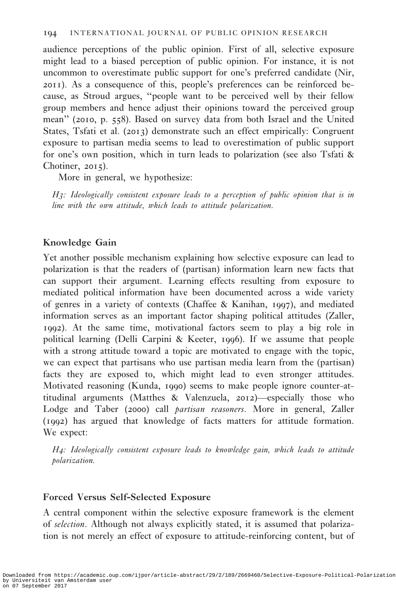audience perceptions of the public opinion. First of all, selective exposure might lead to a biased perception of public opinion. For instance, it is not uncommon to overestimate public support for one's preferred candidate ([Nir,](#page-23-0) [2011](#page-23-0)). As a consequence of this, people's preferences can be reinforced because, as Stroud argues, ''people want to be perceived well by their fellow group members and hence adjust their opinions toward the perceived group mean'' (2010, p. 558). Based on survey data from both Israel and the United States, [Tsfati et al. \(](#page-24-0)2013) demonstrate such an effect empirically: Congruent exposure to partisan media seems to lead to overestimation of public support for one's own position, which in turn leads to polarization (see also [Tsfati &](#page-24-0) [Chotiner,](#page-24-0) 2015).

More in general, we hypothesize:

H3: Ideologically consistent exposure leads to a perception of public opinion that is in line with the own attitude, which leads to attitude polarization.

# Knowledge Gain

Yet another possible mechanism explaining how selective exposure can lead to polarization is that the readers of (partisan) information learn new facts that can support their argument. Learning effects resulting from exposure to mediated political information have been documented across a wide variety of genres in a variety of contexts ([Chaffee & Kanihan,](#page-21-0) 1997), and mediated information serves as an important factor shaping political attitudes [\(Zaller,](#page-24-0) [1992](#page-24-0)). At the same time, motivational factors seem to play a big role in political learning ([Delli Carpini & Keeter,](#page-22-0) 1996). If we assume that people with a strong attitude toward a topic are motivated to engage with the topic, we can expect that partisans who use partisan media learn from the (partisan) facts they are exposed to, which might lead to even stronger attitudes. Motivated reasoning ([Kunda,](#page-23-0) 1990) seems to make people ignore counter-attitudinal arguments ([Matthes & Valenzuela,](#page-24-0) 2012)—especially those who [Lodge and Taber \(](#page-23-0)2000) call *partisan reasoners*. More in general, [Zaller](#page-24-0) ([1992](#page-24-0)) has argued that knowledge of facts matters for attitude formation. We expect:

H4: Ideologically consistent exposure leads to knowledge gain, which leads to attitude polarization.

# Forced Versus Self-Selected Exposure

A central component within the selective exposure framework is the element of selection. Although not always explicitly stated, it is assumed that polarization is not merely an effect of exposure to attitude-reinforcing content, but of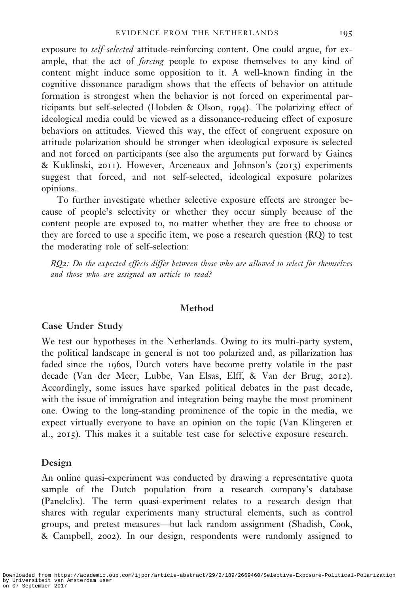exposure to self-selected attitude-reinforcing content. One could argue, for example, that the act of *forcing* people to expose themselves to any kind of content might induce some opposition to it. A well-known finding in the cognitive dissonance paradigm shows that the effects of behavior on attitude formation is strongest when the behavior is not forced on experimental participants but self-selected ([Hobden & Olson,](#page-22-0) 1994). The polarizing effect of ideological media could be viewed as a dissonance-reducing effect of exposure behaviors on attitudes. Viewed this way, the effect of congruent exposure on attitude polarization should be stronger when ideological exposure is selected and not forced on participants (see also the arguments put forward by [Gaines](#page-22-0) [& Kuklinski,](#page-22-0) 2011). However, [Arceneaux and Johnson's \(](#page-21-0)2013) experiments suggest that forced, and not self-selected, ideological exposure polarizes opinions.

To further investigate whether selective exposure effects are stronger because of people's selectivity or whether they occur simply because of the content people are exposed to, no matter whether they are free to choose or they are forced to use a specific item, we pose a research question (RQ) to test the moderating role of self-selection:

RQ2: Do the expected effects differ between those who are allowed to select for themselves and those who are assigned an article to read?

# Method

### Case Under Study

We test our hypotheses in the Netherlands. Owing to its multi-party system, the political landscape in general is not too polarized and, as pillarization has faded since the 1960s, Dutch voters have become pretty volatile in the past decade [\(Van der Meer, Lubbe, Van Elsas, Elff, & Van der Brug,](#page-24-0) 2012). Accordingly, some issues have sparked political debates in the past decade, with the issue of immigration and integration being maybe the most prominent one. Owing to the long-standing prominence of the topic in the media, we expect virtually everyone to have an opinion on the topic ([Van Klingeren et](#page-24-0) al., [2015](#page-24-0)). This makes it a suitable test case for selective exposure research.

### Design

An online quasi-experiment was conducted by drawing a representative quota sample of the Dutch population from a research company's database (Panelclix). The term quasi-experiment relates to a research design that shares with regular experiments many structural elements, such as control groups, and pretest measures—but lack random assignment [\(Shadish, Cook,](#page-23-0) [& Campbell,](#page-23-0) 2002). In our design, respondents were randomly assigned to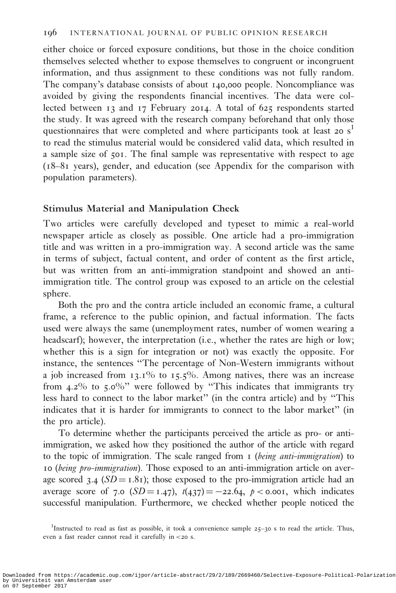either choice or forced exposure conditions, but those in the choice condition themselves selected whether to expose themselves to congruent or incongruent information, and thus assignment to these conditions was not fully random. The company's database consists of about 140,000 people. Noncompliance was avoided by giving the respondents financial incentives. The data were collected between 13 and 17 February 2014. A total of 625 respondents started the study. It was agreed with the research company beforehand that only those questionnaires that were completed and where participants took at least 20 s<sup>1</sup> to read the stimulus material would be considered valid data, which resulted in a sample size of 501. The final sample was representative with respect to age (18–81 years), gender, and education (see Appendix for the comparison with population parameters).

# Stimulus Material and Manipulation Check

Two articles were carefully developed and typeset to mimic a real-world newspaper article as closely as possible. One article had a pro-immigration title and was written in a pro-immigration way. A second article was the same in terms of subject, factual content, and order of content as the first article, but was written from an anti-immigration standpoint and showed an antiimmigration title. The control group was exposed to an article on the celestial sphere.

Both the pro and the contra article included an economic frame, a cultural frame, a reference to the public opinion, and factual information. The facts used were always the same (unemployment rates, number of women wearing a headscarf); however, the interpretation (i.e., whether the rates are high or low; whether this is a sign for integration or not) was exactly the opposite. For instance, the sentences ''The percentage of Non-Western immigrants without a job increased from 13.1% to 15.5%. Among natives, there was an increase from 4.2% to 5.0%'' were followed by ''This indicates that immigrants try less hard to connect to the labor market'' (in the contra article) and by ''This indicates that it is harder for immigrants to connect to the labor market'' (in the pro article).

To determine whether the participants perceived the article as pro- or antiimmigration, we asked how they positioned the author of the article with regard to the topic of immigration. The scale ranged from 1 (being anti-immigration) to 10 (being pro-immigration). Those exposed to an anti-immigration article on average scored 3.4  $(SD = 1.81)$ ; those exposed to the pro-immigration article had an average score of 7.0  $(SD=1.47)$ ,  $t(437) = -22.64$ ,  $p < 0.001$ , which indicates successful manipulation. Furthermore, we checked whether people noticed the

<sup>&</sup>lt;sup>1</sup>Instructed to read as fast as possible, it took a convenience sample  $25-30$  s to read the article. Thus, even a fast reader cannot read it carefully in <20 s.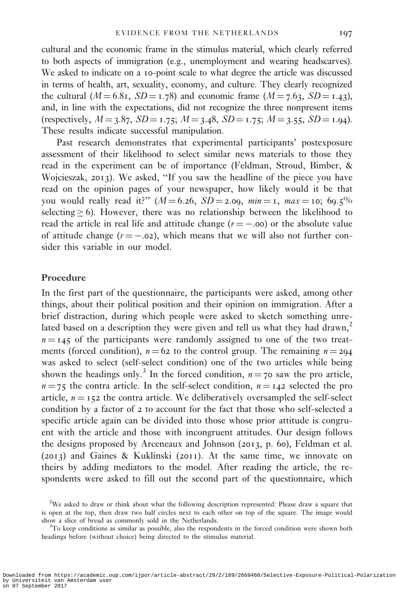cultural and the economic frame in the stimulus material, which clearly referred to both aspects of immigration (e.g., unemployment and wearing headscarves). We asked to indicate on a 10-point scale to what degree the article was discussed in terms of health, art, sexuality, economy, and culture. They clearly recognized the cultural  $(M = 6.81, SD = 1.78)$  and economic frame  $(M = 7.63, SD = 1.43)$ , and, in line with the expectations, did not recognize the three nonpresent items (respectively,  $M = 3.87$ ,  $SD = 1.75$ ;  $M = 3.48$ ,  $SD = 1.75$ ;  $M = 3.55$ ,  $SD = 1.94$ ). These results indicate successful manipulation.

Past research demonstrates that experimental participants' postexposure assessment of their likelihood to select similar news materials to those they read in the experiment can be of importance ([Feldman, Stroud, Bimber, &](#page-22-0) [Wojcieszak,](#page-22-0) 2013). We asked, ''If you saw the headline of the piece you have read on the opinion pages of your newspaper, how likely would it be that you would really read it?"  $(M = 6.26, SD = 2.09, min = 1, max = 10; 69.5\%$ selecting  $\geq 6$ ). However, there was no relationship between the likelihood to read the article in real life and attitude change  $(r = -.00)$  or the absolute value of attitude change  $(r = -.02)$ , which means that we will also not further consider this variable in our model.

# Procedure

In the first part of the questionnaire, the participants were asked, among other things, about their political position and their opinion on immigration. After a brief distraction, during which people were asked to sketch something unrelated based on a description they were given and tell us what they had drawn,<sup>2</sup>  $n = 145$  of the participants were randomly assigned to one of the two treatments (forced condition),  $n = 62$  to the control group. The remaining  $n = 294$ was asked to select (self-select condition) one of the two articles while being shown the headings only.<sup>3</sup> In the forced condition,  $n = 70$  saw the pro article,  $n = 75$  the contra article. In the self-select condition,  $n = 142$  selected the pro article,  $n = 152$  the contra article. We deliberatively oversampled the self-select condition by a factor of 2 to account for the fact that those who self-selected a specific article again can be divided into those whose prior attitude is congruent with the article and those with incongruent attitudes. Our design follows the designs proposed by Arceneaux and Johnson ([2013](#page-21-0), p. 60), [Feldman et al.](#page-22-0) ([2013](#page-22-0)) and [Gaines & Kuklinski \(](#page-22-0)2011). At the same time, we innovate on theirs by adding mediators to the model. After reading the article, the respondents were asked to fill out the second part of the questionnaire, which

 $2$ We asked to draw or think about what the following description represented: Please draw a square that is open at the top, then draw two half circles next to each other on top of the square. The image would show a slice of bread as commonly sold in the Netherlands.

 ${}^{3}$ To keep conditions as similar as possible, also the respondents in the forced condition were shown both headings before (without choice) being directed to the stimulus material.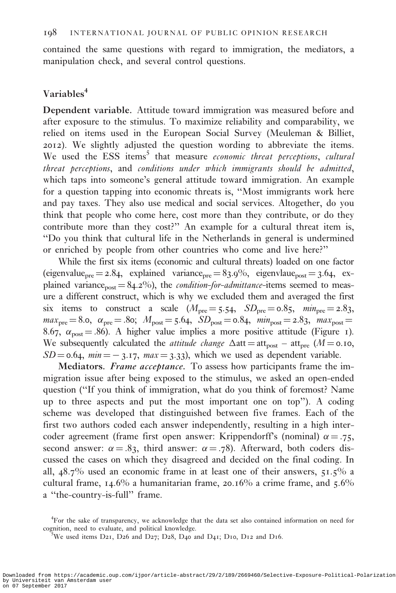contained the same questions with regard to immigration, the mediators, a manipulation check, and several control questions.

# Variables<sup>4</sup>

Dependent variable. Attitude toward immigration was measured before and after exposure to the stimulus. To maximize reliability and comparability, we relied on items used in the European Social Survey ([Meuleman & Billiet,](#page-23-0) [2012](#page-23-0)). We slightly adjusted the question wording to abbreviate the items. We used the ESS items<sup>5</sup> that measure economic threat perceptions, cultural threat perceptions, and conditions under which immigrants should be admitted, which taps into someone's general attitude toward immigration. An example for a question tapping into economic threats is, ''Most immigrants work here and pay taxes. They also use medical and social services. Altogether, do you think that people who come here, cost more than they contribute, or do they contribute more than they cost?'' An example for a cultural threat item is, ''Do you think that cultural life in the Netherlands in general is undermined or enriched by people from other countries who come and live here?''

While the first six items (economic and cultural threats) loaded on one factor (eigenvalue<sub>pre</sub> = 2.84, explained variance<sub>pre</sub> = 83.9%, eigenvlaue<sub>post</sub> = 3.64, explained variance<sub>post</sub> = 84.2%), the *condition-for-admittance*-items seemed to measure a different construct, which is why we excluded them and averaged the first six items to construct a scale  $(M_{\text{pre}} = 5.54, SD_{\text{pre}} = 0.85, min_{\text{pre}} = 2.83,$  $max_{\text{pre}} = 8.0, \ \alpha_{\text{pre}} = .80; \ M_{\text{post}} = 5.64, \ SD_{\text{post}} = 0.84, \ min_{\text{post}} = 2.83, \ max_{\text{post}} =$ 8.67,  $\alpha_{\text{post}} = .86$ ). A higher value implies a more positive attitude (Figure 1). We subsequently calculated the *attitude change*  $\Delta$ att = att<sub>post</sub> – att<sub>pre</sub> (*M* = 0.10,  $SD = 0.64$ ,  $min = -3.17$ ,  $max = 3.33$ ), which we used as dependent variable.

Mediators. Frame acceptance. To assess how participants frame the immigration issue after being exposed to the stimulus, we asked an open-ended question (''If you think of immigration, what do you think of foremost? Name up to three aspects and put the most important one on top''). A coding scheme was developed that distinguished between five frames. Each of the first two authors coded each answer independently, resulting in a high intercoder agreement (frame first open answer: Krippendorff's (nominal)  $\alpha = .75$ , second answer:  $\alpha = .83$ , third answer:  $\alpha = .78$ ). Afterward, both coders discussed the cases on which they disagreed and decided on the final coding. In all, 48.7% used an economic frame in at least one of their answers, 51.5% a cultural frame, 14.6% a humanitarian frame, 20.16% a crime frame, and 5.6% a ''the-country-is-full'' frame.

<sup>4</sup> For the sake of transparency, we acknowledge that the data set also contained information on need for cognition, need to evaluate, and political knowledge.

<sup>&</sup>lt;sup>5</sup>We used items D21, D26 and D27; D28, D40 and D41; D10, D12 and D16.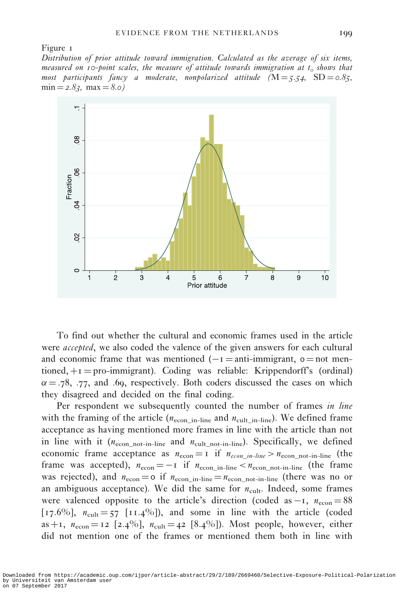#### Figure 1

Distribution of prior attitude toward immigration. Calculated as the average of six items, measured on 10-point scales, the measure of attitude towards immigration at  $t_0$  shows that most participants fancy a moderate, nonpolarized attitude  $(M = 5.54, SD = 0.85,$  $min = 2.83$ ,  $max = 8.0$ 



To find out whether the cultural and economic frames used in the article were *accepted*, we also coded the valence of the given answers for each cultural and economic frame that was mentioned  $(-1)$  = anti-immigrant, o = not mentioned,  $+1$  = pro-immigrant). Coding was reliable: Krippendorff's (ordinal)  $\alpha = .78, .77,$  and .69, respectively. Both coders discussed the cases on which they disagreed and decided on the final coding.

Per respondent we subsequently counted the number of frames in line with the framing of the article ( $n_{\rm econ\ in-line}$  and  $n_{\rm cult\ in-line}$ ). We defined frame acceptance as having mentioned more frames in line with the article than not in line with it  $(n_{\text{econ\_not-in-line}}$  and  $n_{\text{cut\_not-in-line}})$ . Specifically, we defined economic frame acceptance as  $n_{\text{econ}} = 1$  if  $n_{\text{econ}} \cdot n_{\text{econ}} > n_{\text{econ}}$  not-in-line (the frame was accepted),  $n_{\text{econ}} = -1$  if  $n_{\text{econ\_in-line}} < n_{\text{econ\_not-in-line}}$  (the frame was rejected), and  $n_{\text{econ}} = o$  if  $n_{\text{econ}_i = n_{\text{econ}_i}$  in-line (there was no or an ambiguous acceptance). We did the same for  $n_{\text{cut}}$ . Indeed, some frames were valenced opposite to the article's direction (coded as  $-1$ ,  $n_{\text{econ}} = 88$ [17.6%],  $n_{\text{cut}} = 57$  [11.4%]), and some in line with the article (coded as +1,  $n_{\text{econ}} = 12$  [2.4%],  $n_{\text{cut}} = 42$  [8.4%]). Most people, however, either did not mention one of the frames or mentioned them both in line with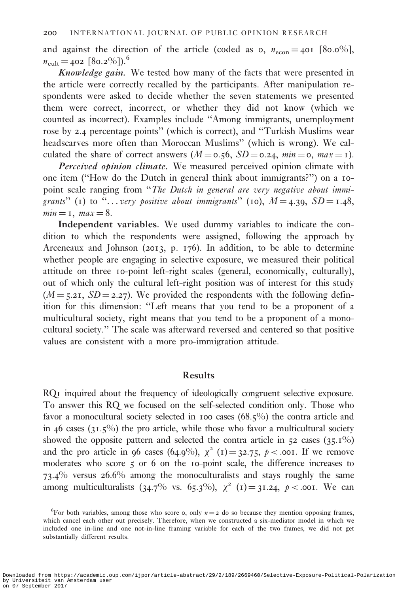and against the direction of the article (coded as  $\alpha$ ,  $n_{\text{econ}} = 401$  [80.0%],  $n_{\text{cut}} = 402 \left[ 80.2\% \right]$ .<sup>6</sup>

Knowledge gain. We tested how many of the facts that were presented in the article were correctly recalled by the participants. After manipulation respondents were asked to decide whether the seven statements we presented them were correct, incorrect, or whether they did not know (which we counted as incorrect). Examples include ''Among immigrants, unemployment rose by 2.4 percentage points'' (which is correct), and ''Turkish Muslims wear headscarves more often than Moroccan Muslims'' (which is wrong). We calculated the share of correct answers  $(M = 0.56, SD = 0.24, min = 0, max = 1)$ .

Perceived opinion climate. We measured perceived opinion climate with one item (''How do the Dutch in general think about immigrants?'') on a 10 point scale ranging from "The Dutch in general are very negative about immigrants" (1) to "... very positive about immigrants" (10),  $M = 4.39$ ,  $SD = 1.48$ ,  $min = 1$ ,  $max = 8$ .

Independent variables. We used dummy variables to indicate the condition to which the respondents were assigned, following the approach by Arceneaux and Johnson ([2013](#page-21-0), p. 176). In addition, to be able to determine whether people are engaging in selective exposure, we measured their political attitude on three 10-point left-right scales (general, economically, culturally), out of which only the cultural left-right position was of interest for this study  $(M = 5.21, SD = 2.27)$ . We provided the respondents with the following definition for this dimension: ''Left means that you tend to be a proponent of a multicultural society, right means that you tend to be a proponent of a monocultural society.'' The scale was afterward reversed and centered so that positive values are consistent with a more pro-immigration attitude.

## Results

RQ1 inquired about the frequency of ideologically congruent selective exposure. To answer this RQ we focused on the self-selected condition only. Those who favor a monocultural society selected in 100 cases (68.5%) the contra article and in 46 cases  $(31.5\%)$  the pro article, while those who favor a multicultural society showed the opposite pattern and selected the contra article in  $52$  cases ( $35.1\%$ ) and the pro article in 96 cases (64.9%),  $\chi^2$  (1) = 32.75, p < .001. If we remove moderates who score 5 or 6 on the 10-point scale, the difference increases to 73.4% versus 26.6% among the monoculturalists and stays roughly the same among multiculturalists (34.7% vs. 65.3%),  $\chi^2$  (1) = 31.24, p < .001. We can

<sup>&</sup>lt;sup>6</sup>For both variables, among those who score o, only  $n = 2$  do so because they mention opposing frames, which cancel each other out precisely. Therefore, when we constructed a six-mediator model in which we included one in-line and one not-in-line framing variable for each of the two frames, we did not get substantially different results.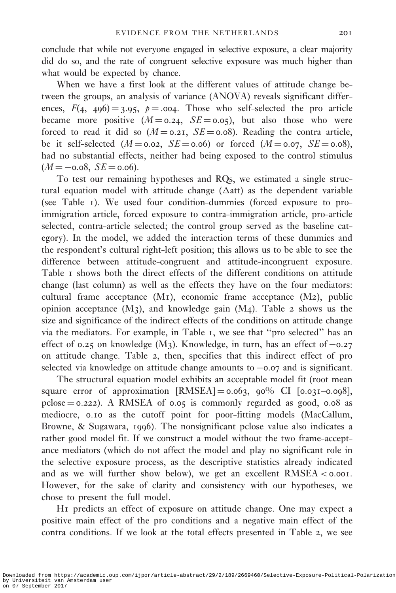conclude that while not everyone engaged in selective exposure, a clear majority did do so, and the rate of congruent selective exposure was much higher than what would be expected by chance.

When we have a first look at the different values of attitude change between the groups, an analysis of variance (ANOVA) reveals significant differences,  $F(4, 496) = 3.95$ ,  $p = .004$ . Those who self-selected the pro article became more positive  $(M = 0.24, SE = 0.05)$ , but also those who were forced to read it did so  $(M = 0.21, SE = 0.08)$ . Reading the contra article, be it self-selected  $(M = 0.02, SE = 0.06)$  or forced  $(M = 0.07, SE = 0.08)$ , had no substantial effects, neither had being exposed to the control stimulus  $(M = -0.08, SE = 0.06).$ 

To test our remaining hypotheses and RQs, we estimated a single structural equation model with attitude change  $(\Delta$ att) as the dependent variable (see [Table](#page-14-0) 1). We used four condition-dummies (forced exposure to proimmigration article, forced exposure to contra-immigration article, pro-article selected, contra-article selected; the control group served as the baseline category). In the model, we added the interaction terms of these dummies and the respondent's cultural right-left position; this allows us to be able to see the difference between attitude-congruent and attitude-incongruent exposure. [Table](#page-14-0) 1 shows both the direct effects of the different conditions on attitude change (last column) as well as the effects they have on the four mediators: cultural frame acceptance  $(M<sub>I</sub>)$ , economic frame acceptance  $(M<sub>2</sub>)$ , public opinion acceptance  $(M_3)$ , and knowledge gain  $(M_4)$ . [Table](#page-15-0) 2 shows us the size and significance of the indirect effects of the conditions on attitude change via the mediators. For example, in [Table](#page-14-0) 1, we see that ''pro selected'' has an effect of 0.25 on knowledge (M3). Knowledge, in turn, has an effect of  $-0.27$ on attitude change. [Table](#page-15-0) 2, then, specifies that this indirect effect of pro selected via knowledge on attitude change amounts to  $-$ 0.07 and is significant.

The structural equation model exhibits an acceptable model fit (root mean square error of approximation  $[RMSEA] = 0.063$ ,  $90\%$  CI  $[0.031 - 0.098]$ ,  $pclose = 0.222$ ). A RMSEA of 0.05 is commonly regarded as good, 0.08 as mediocre, 0.10 as the cutoff point for poor-fitting models [\(MacCallum,](#page-23-0) [Browne, & Sugawara,](#page-23-0) 1996). The nonsignificant pclose value also indicates a rather good model fit. If we construct a model without the two frame-acceptance mediators (which do not affect the model and play no significant role in the selective exposure process, as the descriptive statistics already indicated and as we will further show below), we get an excellent RMSEA < 0.001. However, for the sake of clarity and consistency with our hypotheses, we chose to present the full model.

H1 predicts an effect of exposure on attitude change. One may expect a positive main effect of the pro conditions and a negative main effect of the contra conditions. If we look at the total effects presented in [Table](#page-15-0) 2, we see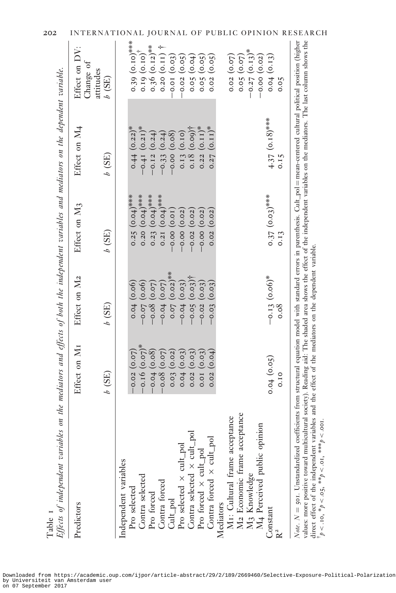<span id="page-14-0"></span>

| Effects of independent variables<br>Table 1                                                                                                                                                                                                                                                                                                                                                                                                                                                                                                                     |                          |                            | on the mediators and effects of both the independent variables and mediators on the dependent variable. |                           | 202                                     |
|-----------------------------------------------------------------------------------------------------------------------------------------------------------------------------------------------------------------------------------------------------------------------------------------------------------------------------------------------------------------------------------------------------------------------------------------------------------------------------------------------------------------------------------------------------------------|--------------------------|----------------------------|---------------------------------------------------------------------------------------------------------|---------------------------|-----------------------------------------|
| Predictors                                                                                                                                                                                                                                                                                                                                                                                                                                                                                                                                                      | Effect on M <sub>I</sub> | Effect on M <sub>2</sub>   | Effect on M <sub>3</sub>                                                                                | Effect on M <sub>4</sub>  | Effect on DV:<br>Change of<br>attitudes |
|                                                                                                                                                                                                                                                                                                                                                                                                                                                                                                                                                                 | b(SE)                    | b(SE)                      | b(SE)                                                                                                   | b(SE)                     | b(SE)                                   |
| Independent variables                                                                                                                                                                                                                                                                                                                                                                                                                                                                                                                                           |                          |                            |                                                                                                         |                           |                                         |
| Pro selected                                                                                                                                                                                                                                                                                                                                                                                                                                                                                                                                                    | $-0.02$ (0.07)           | 0.04(0.06)                 | $0.25$ $(0.04)$ ***                                                                                     | $0.44$ $(0.22)*$          | $0.39(0.10)$ ***                        |
| Contra selected                                                                                                                                                                                                                                                                                                                                                                                                                                                                                                                                                 | $-0.16(0.07)$ *          | $-0.07$ (0.06)             | $0.20(0.04)$ ***                                                                                        | $-0.41(0.21)$ *           | $0.19(0.10)^{t}$                        |
| Pro forced                                                                                                                                                                                                                                                                                                                                                                                                                                                                                                                                                      | $-0.04$ (0.08)           | $-0.08$ $(0.07)$           | $0.23$ $(0.04)$ ***                                                                                     | $-0.12(0.24)$             | $0.36$ $(0.12)*$                        |
| Contra forced                                                                                                                                                                                                                                                                                                                                                                                                                                                                                                                                                   | $-0.08$ (0.07)           | $-0.04$ (0.07)             | $0.21(0.04)$ ***                                                                                        | $-0.33(0.24)$             | 0.20(0.11)                              |
| $Cult\_pol$                                                                                                                                                                                                                                                                                                                                                                                                                                                                                                                                                     | 0.03(0.02)               | $0.07(0.02)$ **            | $-0.00$ $(0.01)$                                                                                        | $-0.00(0.08)$             | $-0.01(0.03)$                           |
| Pro selected $\times$ cult_pol                                                                                                                                                                                                                                                                                                                                                                                                                                                                                                                                  | (0.03)<br>0.04           | (0.03)<br>$-0.04$          | $-0.00(0.02)$                                                                                           | 0.13(0.10)                | $-0.02$ (0.05)                          |
| Contra selected × cult_pol                                                                                                                                                                                                                                                                                                                                                                                                                                                                                                                                      | 0.02(0.03)               | $-0.05(0.03)$ <sup>†</sup> | $-0.02$ $(0.02)$                                                                                        | $0.18$ $(0.00)^{\dagger}$ | 0.05(0.04)                              |
| Pro forced $\times$ cult_pol<br>Contra forced $\times$ cult_pol                                                                                                                                                                                                                                                                                                                                                                                                                                                                                                 | 0.01(0.03)               | $-0.02(0.03)$              | $-0.00(0.02)$                                                                                           | $0.22 (0.11)^*$           | 0.05(0.05)                              |
|                                                                                                                                                                                                                                                                                                                                                                                                                                                                                                                                                                 | 0.02(0.04)               | $-0.03$ $(0.03)$           | 0.02(0.02)                                                                                              | $0.27 (0.11)^*$           | 0.02(0.05)                              |
| Mediators                                                                                                                                                                                                                                                                                                                                                                                                                                                                                                                                                       |                          |                            |                                                                                                         |                           |                                         |
| M1: Cultural frame acceptance                                                                                                                                                                                                                                                                                                                                                                                                                                                                                                                                   |                          |                            |                                                                                                         |                           | 0.02(0.07)                              |
| M2 Economic frame acceptance                                                                                                                                                                                                                                                                                                                                                                                                                                                                                                                                    |                          |                            |                                                                                                         |                           | 0.05(0.07)                              |
| M <sub>3</sub> Knowledge<br>M <sub>4</sub> Perceived public opinion                                                                                                                                                                                                                                                                                                                                                                                                                                                                                             |                          |                            |                                                                                                         |                           | $-0.27 (0.13)$ *                        |
|                                                                                                                                                                                                                                                                                                                                                                                                                                                                                                                                                                 |                          |                            |                                                                                                         |                           | $-0.00(0.02)$                           |
| Constant                                                                                                                                                                                                                                                                                                                                                                                                                                                                                                                                                        | 0.04(0.05)               | $-0.13(0.06)$ *            | $0.37$ $(0.03)$ ***                                                                                     | $4.37$ (0.18)***          | 0.04(0.13)                              |
|                                                                                                                                                                                                                                                                                                                                                                                                                                                                                                                                                                 | 0.10                     | 0.08                       | 0.13                                                                                                    | 0.15                      | 0.05                                    |
| values: more positive toward multicultural society). Reading aid: The shaded area shows the effect of the independent variables on the mediators. The last column shows the<br>Note. $N =$ 501. Unstandardized coefficients from structural equation model with standard errors in parenthesis. Cult_pol = mean-centered cultural political position (higher<br>direct effect of the independent variables and the effect of the mediators on the dependent variable.<br>$p < 10, \, \sqrt[8]{p} < .05, \, \sqrt[8]{p} < .01, \, \sqrt[8]{\sqrt[8]{p}} < .001.$ |                          |                            |                                                                                                         |                           |                                         |

Downloaded from https://academic.oup.com/ijpor/article-abstract/29/2/189/2669460/Selective-Exposure-Political-Polarization<br>by Universiteit van Amsterdam user<br>on 07 September 2017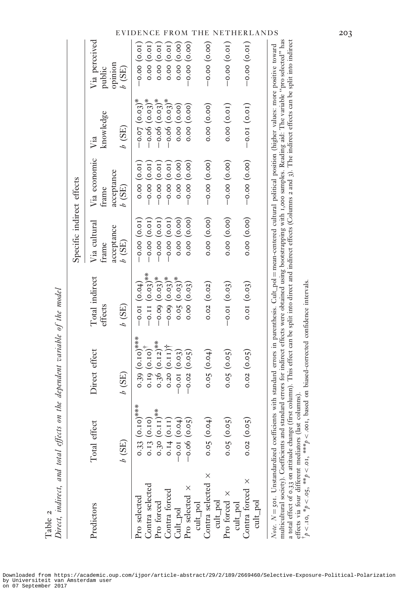Direct, indirect, and total effects on the dependent variable of the model Direct, indirect, and total effects on the dependent variable of the model Table 2

<span id="page-15-0"></span>Via perceived multicultural society). Coefficients and standard errors for indirect effects were obtained using bootstrapping with 1,000 samples. Reading aid: The variable "pro selected" has a total effect of 0.33 on attitude change (first column). This effect can be split into direct and indirect effects (Columns 2 and 3). The indirect effects can be split into indirect Via perceived multicultural society). Coefficients and standard errors for indirect effects were obtained using bootstrapping with 1,000 samples. Reading aid: The variable ''pro selected'' has a total effect of 0.33 on attitude change (first column). This effect can be split into direct and indirect effects (Columns 2 and 3). The indirect effects can be split into indirect  $-0.00 (0.01)$ 0.00 (0.01) 0.00 (0.01) 0.06  $(0.03)^*$  0.00  $(0.01)$  $0.00(0.01)$ 0.06  $(0.03)^*$  0.00  $(0.01)$  $0.00(0.01)$ 0.06  $(0.03)^*$  0.00  $(0.01)$  $0.00(0.01)$ 0.01 (0.03) 0.05 (0.03)\* 0.00 (0.00) 0.00 (0.00) 0.00 (0.00) 0.00 (0.00)  $0.00(0.00)$  $-0.00 (0.00)$  $-0.00 (0.00)$  mean-centered cultural political position (higher values: more positive toward opinion public  $b(SE)$  $b$  (SE) b (SE) b (SE) b (SE) b (SE) b (SE) b (SE) - $(0.00 (0.00 (0.00 (0.00))$  $(0.00 (0.00) 0.00 (0.00)$  $(0.00 (0.00) 0.00 (0.01)$  $-$  (0.01) - $(0.03)*$  $(0.03)^*$  $(0.03)*$  $(0.03)*$  $0.07 (0.03)^*$  $(0.00)$  $0.00(0.00)$  $0.00(0.00)$  $0.00(0.01)$  $-0.01(0.01)$ knowledge  $-0.06$  $-0.06$  $0.001$  $-0.06$  $b(SE)$  $-0.07$ Via  $0.00 (0.01) 0.00 (0.01)$  $0.00 (0.01)$  - $-$  (0.01)  $-$  (0.01)  $-$  (0.00)  $-$ Via economic Via economic  $-0.00(0.00)$  $-0.00(0.00)$  $-0.00(0.00)$  $0.00(0.00)$  $-0.00(0.00)$  $0.00(0.01)$  $-0.00(0.01)$  $-0.00(0.01)$  $-0.00(0.01)$ acceptance acceptance Specific indirect effects Specific indirect effects  $b(SE)$ frame  $-$  (0.01)  $-$  (0.01)  $-$  (0.01)  $(0.05)$  0.00  $(0.03)$  0.00  $(0.00)$  - $(0.05 \ (0.04)$  0.05  $(0.04)$  0.02  $(0.02)$  0.02  $(0.02)$  0.00  $(0.00)$  $(0.01 (0.03) 0.00 (0.00)$  $(0.05)$   $(0.05)$   $(0.05)$   $(0.07)$   $(0.03)$   $(0.03)$   $(0.00)$   $(0.00)$  $0.00(0.00)$  $0.00(0.00)$  $0.00(0.00)$  $0.00(0.00)$  $-0.00(0.01)$  $-0.00(0.01)$  $-0.00(0.01)$  $-0.00(0.01)$  $0.00(0.00)$ Via cultural Via cultural acceptance acceptance  $b(SE)$ frame  $(0.04)$ --- $-0.11(0.03)$ \*\*  $(0.03)*$  $0.11 (0.03)$ \*\*  $-0.09(0.03)$ \*  $0.05 (0.03)$ \* Total indirect Predictors Total effect Direct effect Total indirect  $0.00 (0.03)^*$  $0.00 (0.03)^*$  501. Unstandardized coefficients with standard errors in parenthesis. Cult\_pol  $-0.01(0.03)$  $(0.01)$  10.04)  $0.02(0.02)$  $0.01(0.03)$  $0.00(0.03)$ effects  $b(SE)$  $-0.00$  -Contra forced  $0.14$   $(0.11)$   $0.20$   $(0.11)^{\dagger}$  - $0.05 (0.05)$  0.05  $(0.05)$  $0.39(0.10)$ \*\*\*<br>0.10 $(0.10)^{\dagger}$ Pro selected  $0.33$  (0.10)\*\*\*  $0.39$  (0.10)\*\*\*  $(0.12)^{**}$ Pro forced  $0.30$  (0.11)<sup>\*\*</sup>  $0.36$  (0.12)<sup>\*\*</sup>  $(0.11)^{\dagger}$ Direct effect  $0.05(0.04)$  $0.05(0.05)$ Contra selected 0.13 (0.10) 0.19 (0.10)  $-0.01(0.03)$  $-0.02(0.05)$  $0.02(0.05)$  $0.36($  $0.19$  $0.20$  $b$  (SE)  $(0.05)$  $0.33$   $(0.10)$ \*\*\*  $0.30(0.11)^{**}$  $0.13(0.10)$  $-0.01(0.04)$  $-0.06$  (0.05)  $0.05(0.04)$  $0.05(0.05)$  $0.02(0.05)$ Total effect  $0.14(0.11)$  $b(SE)$  $\times$ × Contra selected Contra selected Contra selected × Contra forced Contra forced × Pro selected Pro selected Pro forced cult\_pol cult\_pol cult\_pol cult\_pol Pro forced Predictors Cult\_pol Note.  $N =$ 

### EVIDENCE FROM THE NETHERLANDS 203

effects via four different mediators (last columns).

effects via four different mediators (last columns).

 $p < 10$ , \* $p < 0.05$ , \*\* $p < 0.1$ , \*\*\* $p < 0.01$ , based on biased-corrected confidence intervals.  $p < 10$ ,  $\ast p < 0.6$ ,  $\ast p < 0.1$ ,  $\ast p < 0.01$ , based on biased-corrected confidence intervals.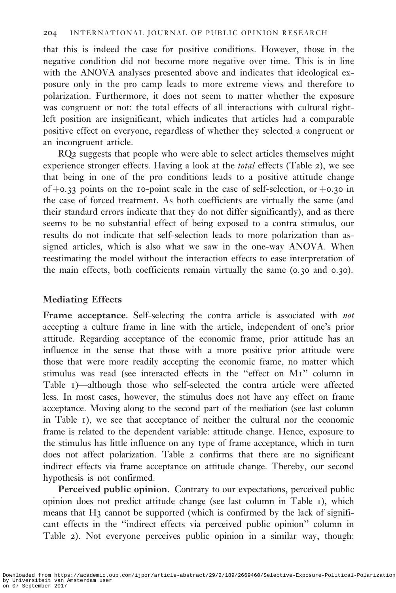that this is indeed the case for positive conditions. However, those in the negative condition did not become more negative over time. This is in line with the ANOVA analyses presented above and indicates that ideological exposure only in the pro camp leads to more extreme views and therefore to polarization. Furthermore, it does not seem to matter whether the exposure was congruent or not: the total effects of all interactions with cultural rightleft position are insignificant, which indicates that articles had a comparable positive effect on everyone, regardless of whether they selected a congruent or an incongruent article.

RQ2 suggests that people who were able to select articles themselves might experience stronger effects. Having a look at the *total* effects [\(Table](#page-15-0) 2), we see that being in one of the pro conditions leads to a positive attitude change of  $\pm$  0.33 points on the 10-point scale in the case of self-selection, or  $\pm$  0.30 in the case of forced treatment. As both coefficients are virtually the same (and their standard errors indicate that they do not differ significantly), and as there seems to be no substantial effect of being exposed to a contra stimulus, our results do not indicate that self-selection leads to more polarization than assigned articles, which is also what we saw in the one-way ANOVA. When reestimating the model without the interaction effects to ease interpretation of the main effects, both coefficients remain virtually the same (0.30 and 0.30).

# Mediating Effects

Frame acceptance. Self-selecting the contra article is associated with *not* accepting a culture frame in line with the article, independent of one's prior attitude. Regarding acceptance of the economic frame, prior attitude has an influence in the sense that those with a more positive prior attitude were those that were more readily accepting the economic frame, no matter which stimulus was read (see interacted effects in the ''effect on M1'' column in [Table](#page-14-0) 1)—although those who self-selected the contra article were affected less. In most cases, however, the stimulus does not have any effect on frame acceptance. Moving along to the second part of the mediation (see last column in [Table](#page-14-0) 1), we see that acceptance of neither the cultural nor the economic frame is related to the dependent variable: attitude change. Hence, exposure to the stimulus has little influence on any type of frame acceptance, which in turn does not affect polarization. [Table](#page-15-0) 2 confirms that there are no significant indirect effects via frame acceptance on attitude change. Thereby, our second hypothesis is not confirmed.

Perceived public opinion. Contrary to our expectations, perceived public opinion does not predict attitude change (see last column in [Table](#page-14-0) 1), which means that H<sub>3</sub> cannot be supported (which is confirmed by the lack of significant effects in the ''indirect effects via perceived public opinion'' column in [Table](#page-15-0) 2). Not everyone perceives public opinion in a similar way, though: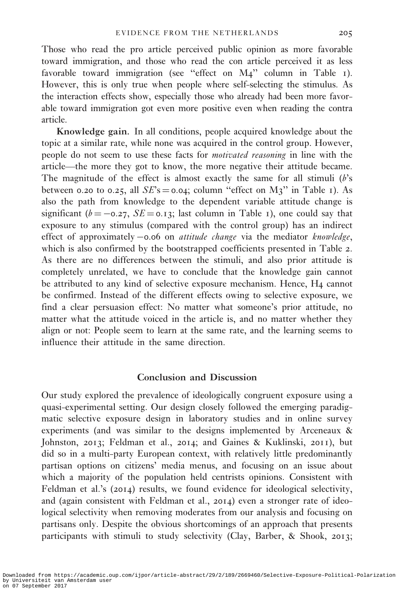Those who read the pro article perceived public opinion as more favorable toward immigration, and those who read the con article perceived it as less favorable toward immigration (see ''effect on M4'' column in [Table](#page-14-0) 1). However, this is only true when people where self-selecting the stimulus. As the interaction effects show, especially those who already had been more favorable toward immigration got even more positive even when reading the contra article.

Knowledge gain. In all conditions, people acquired knowledge about the topic at a similar rate, while none was acquired in the control group. However, people do not seem to use these facts for motivated reasoning in line with the article—the more they got to know, the more negative their attitude became. The magnitude of the effect is almost exactly the same for all stimuli  $(b)$ 's between 0.20 to 0.25, all  $SE$ 's = 0.04; column "effect on M3" in [Table](#page-14-0) 1). As also the path from knowledge to the dependent variable attitude change is significant ( $b = -0.27$ ,  $SE = 0.13$ ; last column in [Table](#page-14-0) 1), one could say that exposure to any stimulus (compared with the control group) has an indirect effect of approximately -0.06 on attitude change via the mediator knowledge, which is also confirmed by the bootstrapped coefficients presented in [Table](#page-15-0) 2. As there are no differences between the stimuli, and also prior attitude is completely unrelated, we have to conclude that the knowledge gain cannot be attributed to any kind of selective exposure mechanism. Hence, H4 cannot be confirmed. Instead of the different effects owing to selective exposure, we find a clear persuasion effect: No matter what someone's prior attitude, no matter what the attitude voiced in the article is, and no matter whether they align or not: People seem to learn at the same rate, and the learning seems to influence their attitude in the same direction.

### Conclusion and Discussion

Our study explored the prevalence of ideologically congruent exposure using a quasi-experimental setting. Our design closely followed the emerging paradigmatic selective exposure design in laboratory studies and in online survey experiments (and was similar to the designs implemented by [Arceneaux &](#page-21-0) [Johnston,](#page-21-0) 2013; Feldman et al., 2014; and [Gaines & Kuklinski,](#page-22-0) 2011), but did so in a multi-party European context, with relatively little predominantly partisan options on citizens' media menus, and focusing on an issue about which a majority of the population held centrists opinions. Consistent with Feldman et al.'s (2014) results, we found evidence for ideological selectivity, and (again consistent with Feldman et al., 2014) even a stronger rate of ideological selectivity when removing moderates from our analysis and focusing on partisans only. Despite the obvious shortcomings of an approach that presents participants with stimuli to study selectivity [\(Clay, Barber, & Shook,](#page-22-0) 2013;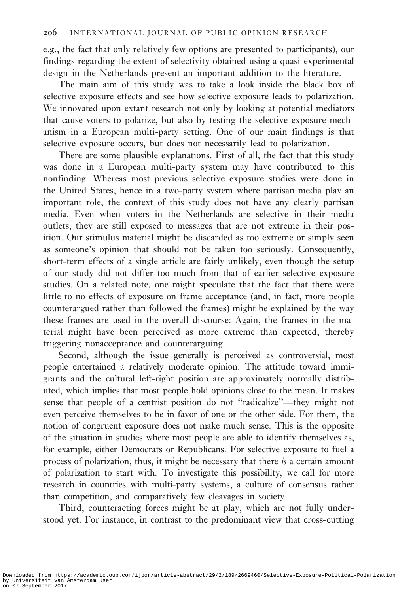e.g., the fact that only relatively few options are presented to participants), our findings regarding the extent of selectivity obtained using a quasi-experimental design in the Netherlands present an important addition to the literature.

The main aim of this study was to take a look inside the black box of selective exposure effects and see how selective exposure leads to polarization. We innovated upon extant research not only by looking at potential mediators that cause voters to polarize, but also by testing the selective exposure mechanism in a European multi-party setting. One of our main findings is that selective exposure occurs, but does not necessarily lead to polarization.

There are some plausible explanations. First of all, the fact that this study was done in a European multi-party system may have contributed to this nonfinding. Whereas most previous selective exposure studies were done in the United States, hence in a two-party system where partisan media play an important role, the context of this study does not have any clearly partisan media. Even when voters in the Netherlands are selective in their media outlets, they are still exposed to messages that are not extreme in their position. Our stimulus material might be discarded as too extreme or simply seen as someone's opinion that should not be taken too seriously. Consequently, short-term effects of a single article are fairly unlikely, even though the setup of our study did not differ too much from that of earlier selective exposure studies. On a related note, one might speculate that the fact that there were little to no effects of exposure on frame acceptance (and, in fact, more people counterargued rather than followed the frames) might be explained by the way these frames are used in the overall discourse: Again, the frames in the material might have been perceived as more extreme than expected, thereby triggering nonacceptance and counterarguing.

Second, although the issue generally is perceived as controversial, most people entertained a relatively moderate opinion. The attitude toward immigrants and the cultural left-right position are approximately normally distributed, which implies that most people hold opinions close to the mean. It makes sense that people of a centrist position do not ''radicalize''—they might not even perceive themselves to be in favor of one or the other side. For them, the notion of congruent exposure does not make much sense. This is the opposite of the situation in studies where most people are able to identify themselves as, for example, either Democrats or Republicans. For selective exposure to fuel a process of polarization, thus, it might be necessary that there  $i<sub>s</sub>$  a certain amount of polarization to start with. To investigate this possibility, we call for more research in countries with multi-party systems, a culture of consensus rather than competition, and comparatively few cleavages in society.

Third, counteracting forces might be at play, which are not fully understood yet. For instance, in contrast to the predominant view that cross-cutting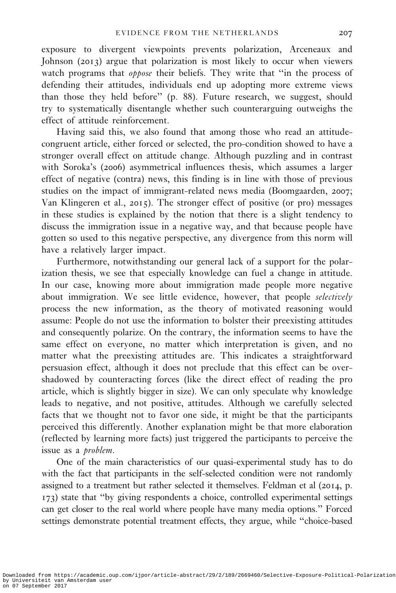exposure to divergent viewpoints prevents polarization, [Arceneaux and](#page-21-0) [Johnson \(](#page-21-0)2013) argue that polarization is most likely to occur when viewers watch programs that *oppose* their beliefs. They write that "in the process of defending their attitudes, individuals end up adopting more extreme views than those they held before'' (p. 88). Future research, we suggest, should try to systematically disentangle whether such counterarguing outweighs the effect of attitude reinforcement.

Having said this, we also found that among those who read an attitudecongruent article, either forced or selected, the pro-condition showed to have a stronger overall effect on attitude change. Although puzzling and in contrast with [Soroka's \(](#page-24-0)2006) asymmetrical influences thesis, which assumes a larger effect of negative (contra) news, this finding is in line with those of previous studies on the impact of immigrant-related news media ([Boomgaarden,](#page-21-0) 2007; [Van Klingeren et al.,](#page-24-0) 2015). The stronger effect of positive (or pro) messages in these studies is explained by the notion that there is a slight tendency to discuss the immigration issue in a negative way, and that because people have gotten so used to this negative perspective, any divergence from this norm will have a relatively larger impact.

Furthermore, notwithstanding our general lack of a support for the polarization thesis, we see that especially knowledge can fuel a change in attitude. In our case, knowing more about immigration made people more negative about immigration. We see little evidence, however, that people *selectively* process the new information, as the theory of motivated reasoning would assume: People do not use the information to bolster their preexisting attitudes and consequently polarize. On the contrary, the information seems to have the same effect on everyone, no matter which interpretation is given, and no matter what the preexisting attitudes are. This indicates a straightforward persuasion effect, although it does not preclude that this effect can be overshadowed by counteracting forces (like the direct effect of reading the pro article, which is slightly bigger in size). We can only speculate why knowledge leads to negative, and not positive, attitudes. Although we carefully selected facts that we thought not to favor one side, it might be that the participants perceived this differently. Another explanation might be that more elaboration (reflected by learning more facts) just triggered the participants to perceive the issue as a problem.

One of the main characteristics of our quasi-experimental study has to do with the fact that participants in the self-selected condition were not randomly assigned to a treatment but rather selected it themselves. Feldman et al (2014, p. 173) state that ''by giving respondents a choice, controlled experimental settings can get closer to the real world where people have many media options.'' Forced settings demonstrate potential treatment effects, they argue, while ''choice-based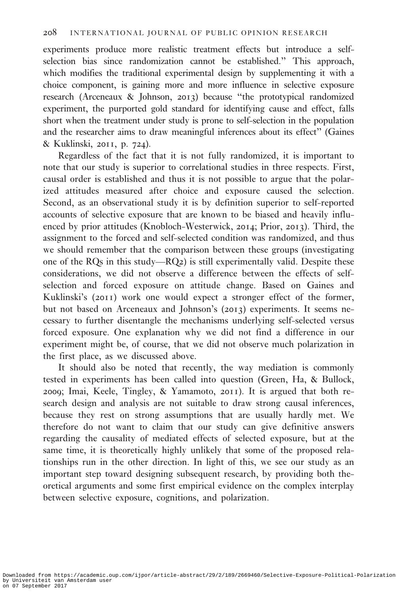experiments produce more realistic treatment effects but introduce a selfselection bias since randomization cannot be established.'' This approach, which modifies the traditional experimental design by supplementing it with a choice component, is gaining more and more influence in selective exposure research [\(Arceneaux & Johnson,](#page-21-0) 2013) because ''the prototypical randomized experiment, the purported gold standard for identifying cause and effect, falls short when the treatment under study is prone to self-selection in the population and the researcher aims to draw meaningful inferences about its effect'' ([Gaines](#page-22-0) [& Kuklinski,](#page-22-0) 2011, p. 724).

Regardless of the fact that it is not fully randomized, it is important to note that our study is superior to correlational studies in three respects. First, causal order is established and thus it is not possible to argue that the polarized attitudes measured after choice and exposure caused the selection. Second, as an observational study it is by definition superior to self-reported accounts of selective exposure that are known to be biased and heavily influenced by prior attitudes [\(Knobloch-Westerwick,](#page-23-0) 2014; [Prior,](#page-23-0) 2013). Third, the assignment to the forced and self-selected condition was randomized, and thus we should remember that the comparison between these groups (investigating one of the RQs in this study—RQ2) is still experimentally valid. Despite these considerations, we did not observe a difference between the effects of selfselection and forced exposure on attitude change. Based on [Gaines and](#page-22-0) [Kuklinski's \(](#page-22-0)2011) work one would expect a stronger effect of the former, but not based on [Arceneaux and Johnson's \(](#page-21-0)2013) experiments. It seems necessary to further disentangle the mechanisms underlying self-selected versus forced exposure. One explanation why we did not find a difference in our experiment might be, of course, that we did not observe much polarization in the first place, as we discussed above.

It should also be noted that recently, the way mediation is commonly tested in experiments has been called into question ([Green, Ha, & Bullock,](#page-22-0) [2009](#page-22-0); [Imai, Keele, Tingley, & Yamamoto,](#page-22-0) 2011). It is argued that both research design and analysis are not suitable to draw strong causal inferences, because they rest on strong assumptions that are usually hardly met. We therefore do not want to claim that our study can give definitive answers regarding the causality of mediated effects of selected exposure, but at the same time, it is theoretically highly unlikely that some of the proposed relationships run in the other direction. In light of this, we see our study as an important step toward designing subsequent research, by providing both theoretical arguments and some first empirical evidence on the complex interplay between selective exposure, cognitions, and polarization.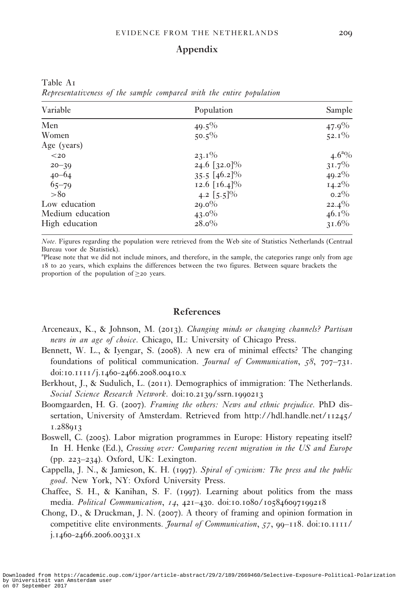### Appendix

| Variable         | Population                                 | Sample      |
|------------------|--------------------------------------------|-------------|
| Men              | $49.5\%$                                   | $47.9\%$    |
| Women            | $50.5\%$                                   | $52.1\%$    |
| Age (years)      |                                            |             |
| $20$             | $23.1\%$                                   | $4.6^{a}\%$ |
| $20 - 30$        | $24.6$ [32.0]%                             | $31.7\%$    |
| $40 - 64$        | 35.5 $[46.2]\%$                            | $49.2\%$    |
| $65 - 79$        | $12.6 \; \text{[}16.4\;]^{\circ}\text{/}o$ | $14.2\%$    |
| >80              | 4.2 $\left[5.5\right] \%$                  | $0.2\%$     |
| Low education    | $20.0\%$                                   | $22.4\%$    |
| Medium education | $43.0\%$                                   | $46.1\%$    |
| High education   | $28.0\%$                                   | $31.6\%$    |

<span id="page-21-0"></span>Table A1 Representativeness of the sample compared with the entire population

Note. Figures regarding the population were retrieved from the Web site of Statistics Netherlands (Centraal Bureau voor de Statistiek).

<sup>a</sup>Please note that we did not include minors, and therefore, in the sample, the categories range only from age 18 to 20 years, which explains the differences between the two figures. Between square brackets the proportion of the population of  $\geq$  20 years.

#### References

- Arceneaux, K., & Johnson, M. (2013). Changing minds or changing channels? Partisan news in an age of choice. Chicago, IL: University of Chicago Press.
- Bennett, W. L., & Iyengar, S. (2008). A new era of minimal effects? The changing foundations of political communication. *Journal of Communication*,  $58$ ,  $707-731$ . doi:10.1111/j.1460-2466.2008.00410.x
- Berkhout, J., & Sudulich, L. (2011). Demographics of immigration: The Netherlands. Social Science Research Network. doi:10.2139/ssrn.1990213
- Boomgaarden, H. G. (2007). Framing the others: News and ethnic prejudice. PhD dissertation, University of Amsterdam. Retrieved from [http://hdl.handle.net/](http://hdl.handle.net/11245/1.288913)11245/ 1.[288913](http://hdl.handle.net/11245/1.288913)
- Boswell, C. (2005). Labor migration programmes in Europe: History repeating itself? In H. Henke (Ed.), Crossing over: Comparing recent migration in the US and Europe (pp. 223–234). Oxford, UK: Lexington.
- Cappella, J. N., & Jamieson, K. H. (1997). Spiral of cynicism: The press and the public good. New York, NY: Oxford University Press.
- Chaffee, S. H., & Kanihan, S. F. (1997). Learning about politics from the mass media. Political Communication, 14, 421–430. doi:10.1080/105846097199218
- Chong, D., & Druckman, J. N. (2007). A theory of framing and opinion formation in competitive elite environments. Journal of Communication, 57, 99–118. doi:10.1111/ j.1460-2466.2006.00331.x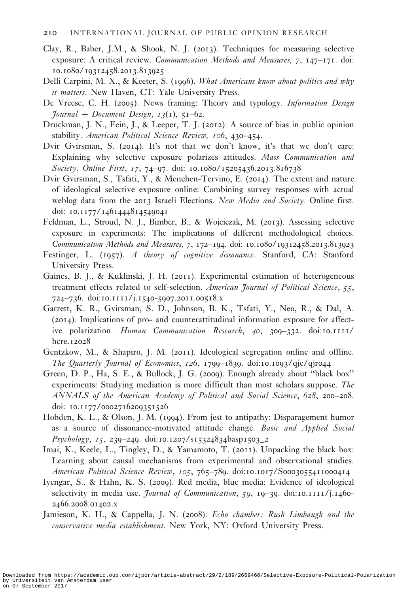- <span id="page-22-0"></span>Clay, R., Baber, J.M., & Shook, N. J. (2013). Techniques for measuring selective exposure: A critical review. Communication Methods and Measures, 7, 147–171. doi: 10.1080/19312458.2013.813925
- Delli Carpini, M. X., & Keeter, S. (1996). What Americans know about politics and why it matters. New Haven, CT: Yale University Press.
- De Vreese, C. H. (2005). News framing: Theory and typology. Information Design  $Journal + Document Design, 13(1), 51–62.$
- Druckman, J. N., Fein, J., & Leeper, T. J. (2012). A source of bias in public opinion stability. American Political Science Review, 106, 430–454.
- Dvir Gvirsman, S. (2014). It's not that we don't know, it's that we don't care: Explaining why selective exposure polarizes attitudes. Mass Communication and Society. Online First, 17, 74-97. doi: 10.1080/15205436.2013.816738
- Dvir Gvirsman, S., Tsfati, Y., & Menchen-Tervino, E. (2014). The extent and nature of ideological selective exposure online: Combining survey responses with actual weblog data from the 2013 Israeli Elections. New Media and Society. Online first. doi: 10.1177/1461444814549041
- Feldman, L., Stroud, N. J., Bimber, B., & Wojciezak, M. (2013). Assessing selective exposure in experiments: The implications of different methodological choices. Communication Methods and Measures, 7, 172–194. doi: 10.1080/19312458.2013.813923
- Festinger, L. (1957). A theory of cognitive dissonance. Stanford, CA: Stanford University Press.
- Gaines, B. J., & Kuklinski, J. H. (2011). Experimental estimation of heterogeneous treatment effects related to self-selection. American Journal of Political Science, 55, 724–736. doi:10.1111/j.1540-5907.2011.00518.x
- Garrett, K. R., Gvirsman, S. D., Johnson, B. K., Tsfati, Y., Neo, R., & Dal, A. (2014). Implications of pro- and counterattitudinal information exposure for affective polarization. Human Communication Research, 40, 309–332. doi:10.1111/ hcre.12028
- Gentzkow, M., & Shapiro, J. M. (2011). Ideological segregation online and offline. The Quarterly Journal of Economics, 126, 1799–1839. doi:10.1093/qje/qjr044
- Green, D. P., Ha, S. E., & Bullock, J. G. (2009). Enough already about ''black box'' experiments: Studying mediation is more difficult than most scholars suppose. The ANNALS of the American Academy of Political and Social Science, 628, 200–208. doi: 10.1177/0002716209351526
- Hobden, K. L., & Olson, J. M. (1994). From jest to antipathy: Disparagement humor as a source of dissonance-motivated attitude change. Basic and Applied Social Psychology, 15, 239–249. doi:10.1207/s15324834basp1503\_2
- Imai, K., Keele, L., Tingley, D., & Yamamoto, T. (2011). Unpacking the black box: Learning about causal mechanisms from experimental and observational studies. American Political Science Review, 105, 765–789. doi:10.1017/S0003055411000414
- Iyengar, S., & Hahn, K. S. (2009). Red media, blue media: Evidence of ideological selectivity in media use. *Journal of Communication*, 59, 19–39. doi:10.1111/j.1460-2466.2008.01402.x
- Jamieson, K. H., & Cappella, J. N. (2008). Echo chamber: Rush Limbaugh and the conservative media establishment. New York, NY: Oxford University Press.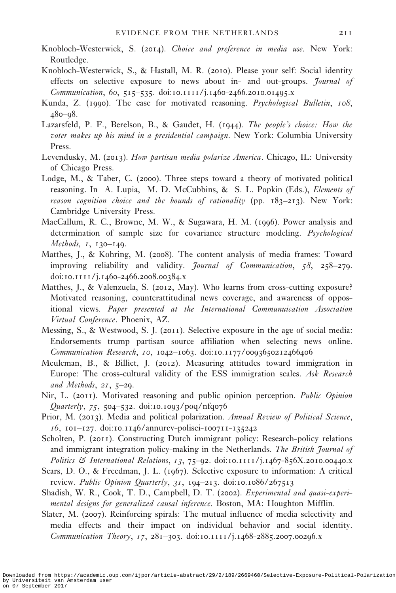- <span id="page-23-0"></span>Knobloch-Westerwick, S. (2014). Choice and preference in media use. New York: Routledge.
- Knobloch-Westerwick, S., & Hastall, M. R. (2010). Please your self: Social identity effects on selective exposure to news about in- and out-groups. *Journal of* Communication, 60, 515–535. doi:10.1111/j.1460-2466.2010.01495.x
- Kunda, Z. (1990). The case for motivated reasoning. Psychological Bulletin, 108, 480–98.
- Lazarsfeld, P. F., Berelson, B., & Gaudet, H. (1944). The people's choice: How the voter makes up his mind in a presidential campaign. New York: Columbia University Press.
- Levendusky, M. (2013). How partisan media polarize America. Chicago, IL: University of Chicago Press.
- Lodge, M., & Taber, C. (2000). Three steps toward a theory of motivated political reasoning. In A. Lupia, M. D. McCubbins, & S. L. Popkin (Eds.), *Elements of* reason cognition choice and the bounds of rationality (pp.  $183-213$ ). New York: Cambridge University Press.
- MacCallum, R. C., Browne, M. W., & Sugawara, H. M. (1996). Power analysis and determination of sample size for covariance structure modeling. Psychological Methods, 1, 130-149.
- Matthes, J., & Kohring, M. (2008). The content analysis of media frames: Toward improving reliability and validity. Journal of Communication, 58, 258–279. doi:10.1111/j.1460-2466.2008.00384.x
- Matthes, J., & Valenzuela, S. (2012, May). Who learns from cross-cutting exposure? Motivated reasoning, counterattitudinal news coverage, and awareness of oppositional views. Paper presented at the International Communuication Association Virtual Conference. Phoenix, AZ.
- Messing, S., & Westwood, S. J. (2011). Selective exposure in the age of social media: Endorsements trump partisan source affiliation when selecting news online. Communication Research, 10, 1042–1063. doi:10.1177/0093650212466406
- Meuleman, B., & Billiet, J. (2012). Measuring attitudes toward immigration in Europe: The cross-cultural validity of the ESS immigration scales. Ask Research and Methods,  $2I$ ,  $5-29$ .
- Nir, L. (2011). Motivated reasoning and public opinion perception. Public Opinion Quarterly, 75, 504–532. doi:10.1093/poq/nfq076
- Prior, M. (2013). Media and political polarization. Annual Review of Political Science, 16, 101–127. doi:10.1146/annurev-polisci-100711-135242
- Scholten, P. (2011). Constructing Dutch immigrant policy: Research-policy relations and immigrant integration policy-making in the Netherlands. The British Journal of Politics  $\mathfrak G$  International Relations, 13, 75–92. doi:10.1111/j.1467-856X.2010.00440.x
- Sears, D. O., & Freedman, J. L. (1967). Selective exposure to information: A critical review. Public Opinion Quarterly,  $31, 194-213$ . doi:10.1086/267513
- Shadish, W. R., Cook, T. D., Campbell, D. T. (2002). Experimental and quasi-experimental designs for generalized causal inference. Boston, MA: Houghton Mifflin.
- Slater, M. (2007). Reinforcing spirals: The mutual influence of media selectivity and media effects and their impact on individual behavior and social identity. Communication Theory, 17, 281–303. doi:10.1111/j.1468-2885.2007.00296.x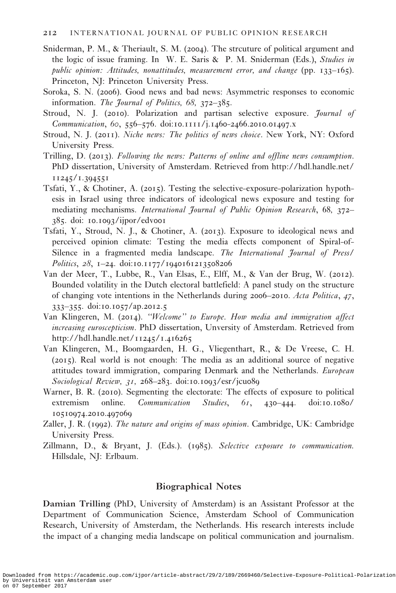- <span id="page-24-0"></span>Sniderman, P. M., & Theriault, S. M. (2004). The strcuture of political argument and the logic of issue framing. In W. E. Saris & P. M. Sniderman (Eds.), Studies in public opinion: Attitudes, nonattitudes, measurement error, and change (pp. 133–165). Princeton, NJ: Princeton University Press.
- Soroka, S. N. (2006). Good news and bad news: Asymmetric responses to economic information. The Journal of Politics, 68, 372–385.
- Stroud, N. J. (2010). Polarization and partisan selective exposure. Journal of Communication, 60, 556–576. doi:10.1111/j.1460-2466.2010.01497.x
- Stroud, N. J. (2011). Niche news: The politics of news choice. New York, NY: Oxford University Press.
- Trilling, D. (2013). Following the news: Patterns of online and offline news consumption. PhD dissertation, University of Amsterdam. Retrieved from [http://hdl.handle.net/](http://hdl.handle.net/11245/1.394551) 11245/1.[394551](http://hdl.handle.net/11245/1.394551)
- Tsfati, Y., & Chotiner, A. (2015). Testing the selective-exposure-polarization hypothesis in Israel using three indicators of ideological news exposure and testing for mediating mechanisms. *International Journal of Public Opinion Research*, 68, 372– 385. doi: 10.1093/ijpor/edv001
- Tsfati, Y., Stroud, N. J., & Chotiner, A. (2013). Exposure to ideological news and perceived opinion climate: Testing the media effects component of Spiral-of-Silence in a fragmented media landscape. The International Journal of Press/ Politics, 28, 1-24. doi:10.1177/1940161213508206
- Van der Meer, T., Lubbe, R., Van Elsas, E., Elff, M., & Van der Brug, W. (2012). Bounded volatility in the Dutch electoral battlefield: A panel study on the structure of changing vote intentions in the Netherlands during 2006–2010. Acta Politica, 47, 333–355. doi:10.1057/ap.2012.5
- Van Klingeren, M. (2014). ''Welcome'' to Europe. How media and immigration affect increasing euroscepticism. PhD dissertation, Unversity of Amsterdam. Retrieved from [http://hdl.handle.net/](http://hdl.handle.net/11245/1.416265)11245/1.416265
- Van Klingeren, M., Boomgaarden, H. G., Vliegenthart, R., & De Vreese, C. H. (2015). Real world is not enough: The media as an additional source of negative attitudes toward immigration, comparing Denmark and the Netherlands. European Sociological Review, 31, 268–283. doi:10.1093/esr/jcu089
- Warner, B. R. (2010). Segmenting the electorate: The effects of exposure to political extremism online. Communication Studies, 61, 430–444. doi:10.1080/ 10510974.2010.497069
- Zaller, J. R. (1992). The nature and origins of mass opinion. Cambridge, UK: Cambridge University Press.
- Zillmann, D., & Bryant, J. (Eds.). (1985). Selective exposure to communication. Hillsdale, NJ: Erlbaum.

# Biographical Notes

Damian Trilling (PhD, University of Amsterdam) is an Assistant Professor at the Department of Communication Science, Amsterdam School of Communication Research, University of Amsterdam, the Netherlands. His research interests include the impact of a changing media landscape on political communication and journalism.